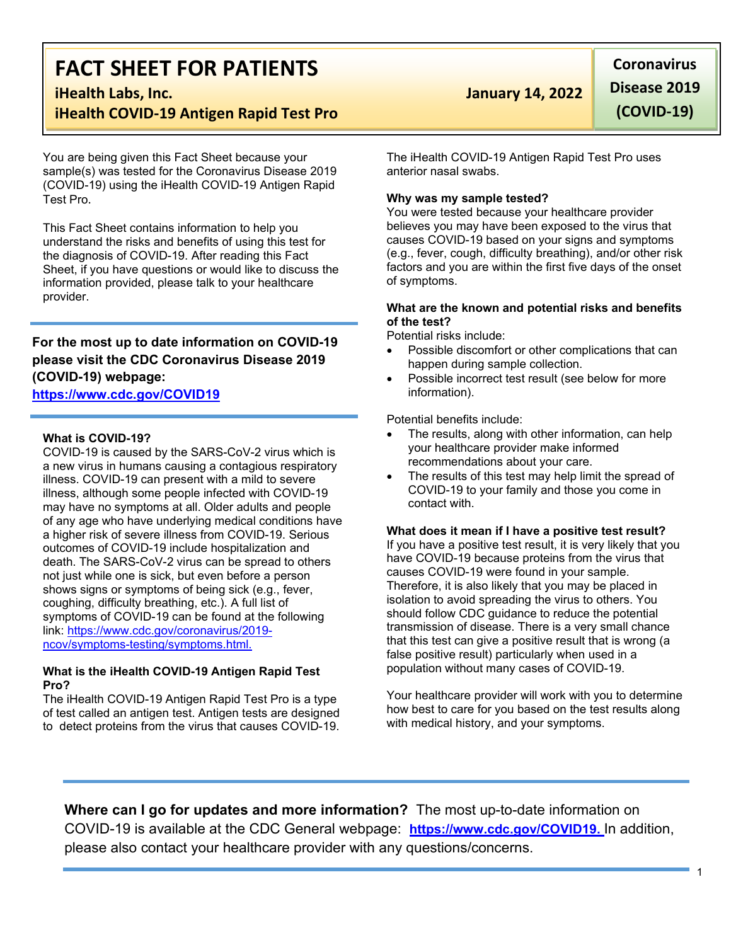# **FACT SHEET FOR PATIENTS**

# **iHealth COVID-19 Antigen Rapid Test Pro**

You are being given this Fact Sheet because your sample(s) was tested for the Coronavirus Disease 2019 (COVID-19) using the iHealth COVID-19 Antigen Rapid Test Pro.

This Fact Sheet contains information to help you understand the risks and benefits of using this test for the diagnosis of COVID-19. After reading this Fact Sheet, if you have questions or would like to discuss the information provided, please talk to your healthcare provider.

# **For the most up to date information on COVID-19 please visit the CDC Coronavirus Disease 2019 (COVID-19) webpage:**

# **[https://www.cdc.gov/COVID19](https://www.cdc.gov/nCoV)**

### **What is COVID-19?**

COVID-19 is caused by the SARS-CoV-2 virus which is a new virus in humans causing a contagious respiratory illness. COVID-19 can present with a mild to severe illness, although some people infected with COVID-19 may have no symptoms at all. Older adults and people of any age who have underlying medical conditions have a higher risk of severe illness from COVID-19. Serious outcomes of COVID-19 include hospitalization and death. The SARS-CoV-2 virus can be spread to others not just while one is sick, but even before a person shows signs or symptoms of being sick (e.g., fever, coughing, difficulty breathing, etc.). A full list of symptoms of COVID-19 can be found at the following link: [https://www.cdc.gov/coronavirus/2019](https://www.cdc.gov/coronavirus/2019-ncov/symptoms-testing/symptoms.html) [ncov/symptoms-testing/symptoms.html](https://www.cdc.gov/coronavirus/2019-ncov/symptoms-testing/symptoms.html).

### **What is the iHealth COVID-19 Antigen Rapid Test Pro?**

The iHealth COVID-19 Antigen Rapid Test Pro is a type of test called an antigen test. Antigen tests are designed to detect proteins from the virus that causes COVID-19.

# **iHealth Labs, Inc. January 14, 2022**

**Coronavirus Disease 2019 (COVID-19)**

The iHealth COVID-19 Antigen Rapid Test Pro uses anterior nasal swabs.

## **Why was my sample tested?**

You were tested because your healthcare provider believes you may have been exposed to the virus that causes COVID-19 based on your signs and symptoms (e.g., fever, cough, difficulty breathing), and/or other risk factors and you are within the first five days of the onset of symptoms.

### **What are the known and potential risks and benefits of the test?**

Potential risks include:

- Possible discomfort or other complications that can happen during sample collection.
- Possible incorrect test result (see below for more information).

Potential benefits include:

- The results, along with other information, can help your healthcare provider make informed recommendations about your care.
- The results of this test may help limit the spread of COVID-19 to your family and those you come in contact with.

**What does it mean if I have a positive test result?** If you have a positive test result, it is very likely that you have COVID-19 because proteins from the virus that causes COVID-19 were found in your sample. Therefore, it is also likely that you may be placed in isolation to avoid spreading the virus to others. You should follow CDC guidance to reduce the potential transmission of disease. There is a very small chance that this test can give a positive result that is wrong (a false positive result) particularly when used in a population without many cases of COVID-19.

Your healthcare provider will work with you to determine how best to care for you based on the test results along with medical history, and your symptoms.

**Where can I go for updates and more information?** The most up-to-date information on COVID-19 is available at the CDC General webpage: **https://www.cdc.gov/COVID19.** In addition, please also contact your healthcare provider with any questions/concerns.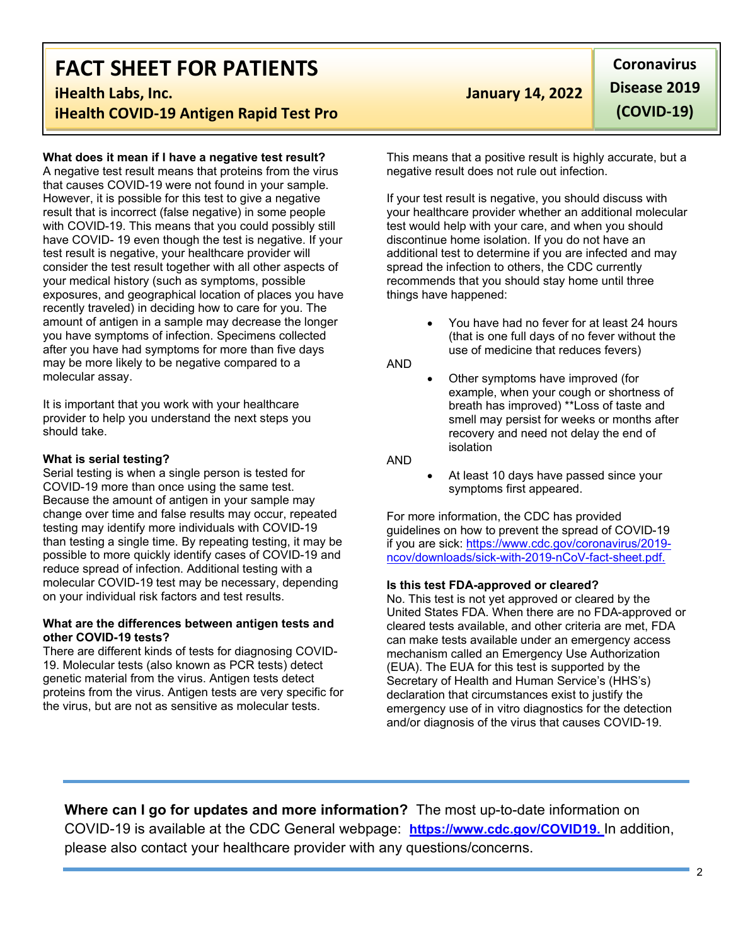# **FACT SHEET FOR PATIENTS**

# **iHealth COVID-19 Antigen Rapid Test Pro**

## **What does it mean if I have a negative test result?**

A negative test result means that proteins from the virus that causes COVID-19 were not found in your sample. However, it is possible for this test to give a negative result that is incorrect (false negative) in some people with COVID-19. This means that you could possibly still have COVID- 19 even though the test is negative. If your test result is negative, your healthcare provider will consider the test result together with all other aspects of your medical history (such as symptoms, possible exposures, and geographical location of places you have recently traveled) in deciding how to care for you. The amount of antigen in a sample may decrease the longer you have symptoms of infection. Specimens collected after you have had symptoms for more than five days may be more likely to be negative compared to a molecular assay.

It is important that you work with your healthcare provider to help you understand the next steps you should take.

### **What is serial testing?**

Serial testing is when a single person is tested for COVID-19 more than once using the same test. Because the amount of antigen in your sample may change over time and false results may occur, repeated testing may identify more individuals with COVID-19 than testing a single time. By repeating testing, it may be possible to more quickly identify cases of COVID-19 and reduce spread of infection. Additional testing with a molecular COVID-19 test may be necessary, depending on your individual risk factors and test results.

### **What are the differences between antigen tests and other COVID-19 tests?**

There are different kinds of tests for diagnosing COVID-19. Molecular tests (also known as PCR tests) detect genetic material from the virus. Antigen tests detect proteins from the virus. Antigen tests are very specific for the virus, but are not as sensitive as molecular tests.

# **iHealth Labs, Inc. January 14, 2022**

**Coronavirus Disease 2019 (COVID-19)**

This means that a positive result is highly accurate, but a negative result does not rule out infection.

If your test result is negative, you should discuss with your healthcare provider whether an additional molecular test would help with your care, and when you should discontinue home isolation. If you do not have an additional test to determine if you are infected and may spread the infection to others, the CDC currently recommends that you should stay home until three things have happened:

> You have had no fever for at least 24 hours (that is one full days of no fever without the use of medicine that reduces fevers)

AND

Other symptoms have improved (for example, when your cough or shortness of breath has improved) \*\*Loss of taste and smell may persist for weeks or months after recovery and need not delay the end of isolation

AND

At least 10 days have passed since your symptoms first appeared.

For more information, the CDC has provided guidelines on how to prevent the spread of COVID-19 if you are sick: https:/[/www.cdc.gov/coronavirus/2019](http://www.cdc.gov/coronavirus/2019-) ncov/downloads/sick-with-2019-nCoV-fact-sheet.pdf.

### **Is this test FDA-approved or cleared?**

No. This test is not yet approved or cleared by the United States FDA. When there are no FDA-approved or cleared tests available, and other criteria are met, FDA can make tests available under an emergency access mechanism called an Emergency Use Authorization (EUA). The EUA for this test is supported by the Secretary of Health and Human Service's (HHS's) declaration that circumstances exist to justify the emergency use of in vitro diagnostics for the detection and/or diagnosis of the virus that causes COVID-19.

**Where can I go for updates and more information?** The most up-to-date information on COVID-19 is available at the CDC General webpage: **https://www.cdc.gov/COVID19.** In addition, please also contact your healthcare provider with any questions/concerns.